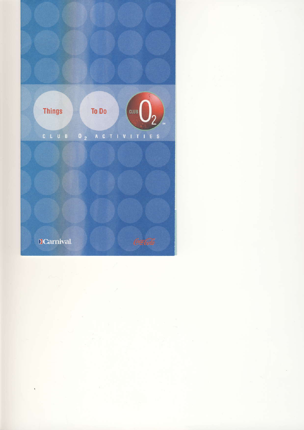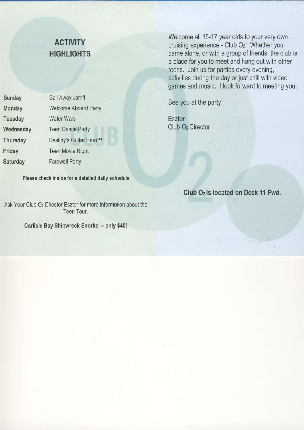| Sunday          | Sail Away Jam!!             |                     |
|-----------------|-----------------------------|---------------------|
| <b>Monday</b>   | <b>Welcome Aboard Party</b> | See you             |
| Tuesday         | <b>Water Wars</b>           | <b>Eszter</b>       |
| Wednesday       | <b>Teen Dance Party</b>     | Club O <sub>2</sub> |
| Thursday        | Destiny's Guitar Hero™      |                     |
| Friday          | <b>Teen Movie Night</b>     |                     |
| <b>Saturday</b> | <b>Farewell Party</b>       |                     |
|                 |                             |                     |

Please check inside for a detailed daily schedule

Ask Your Club  $O<sub>2</sub>$  Director Eszter for more information about the Teen Tour.

Carlisle Bay Shipwreck Snorkel - only \$40!

ACTIVITY<br>ACTIVITY experience Club Od Whether you cruising experience - Club Oz! Whether you HIGHLIGHTS came alone, or with a group of friends, the club is a place for you to meet and hang out with other teens. Join us for parties every evening, activities during the day or just chill with video games and music. I look forward to meeting you.

See you at the party!

Club O<sub>2</sub> Director

Club O<sub>2</sub> is located on Deck 11 Fwd.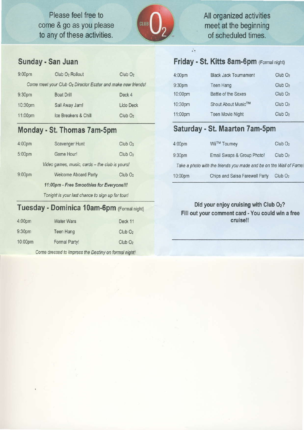Please feel free to come & go as you please to any of these activities.



## All organized activities meet at the beginning of scheduled times.

#### Friday - St. Kitts 8am-6pm (Formal night)

 $\frac{1}{n+1}$ 

9

| 9:00 <sub>pm</sub> | Club O <sub>2</sub> Rollout                                  | ClubO <sub>2</sub> |
|--------------------|--------------------------------------------------------------|--------------------|
|                    | Come meet your Club O2 Director Eszter and make new friends! |                    |
| 9:30pm             | <b>Boat Drill</b>                                            | Deck 4             |
| 10:30pm            | Sail Away Jam!                                               | Lido Deck          |
| 11:00pm            | Ice Breakers & Chill                                         | ClubO <sub>2</sub> |
|                    |                                                              |                    |

## Monday - St. Thomas 7am-5pm

Sunday - San Juan

| 4:00pm | Scavenger Hunt                                   | ClubO <sub>2</sub> |  |
|--------|--------------------------------------------------|--------------------|--|
| 5:00pm | Game Hour!                                       | ClubO <sub>2</sub> |  |
|        | Video games, music, cards - the club is yours!   |                    |  |
| 9:00pm | <b>Welcome Aboard Party</b>                      | Club <sub>O2</sub> |  |
|        | 11:00pm - Free Smoothies for Everyone !!!        |                    |  |
|        | Tonight is your last chance to sign up for tour! |                    |  |

#### Tuesday - Dominica 10am-6pm (Formal night)

| 4:00 <sub>pm</sub> | <b>Water Wars</b> | Deck 11            |
|--------------------|-------------------|--------------------|
| 9:30pm             | Teen Hang         | ClubO <sub>2</sub> |
| 10:00pm            | Formal Party!     | ClubO <sub>2</sub> |

Come dressed to impress the Destiny on formal night!

| :00pm     | <b>Black Jack Tournament</b> | ClubO <sub>2</sub> |
|-----------|------------------------------|--------------------|
| :30pm     | Teen Hang                    | ClubO <sub>2</sub> |
| $0:00$ pm | Battle of the Sexes          | ClubO <sub>2</sub> |
| $0:30$ pm | Shout About Music™           | ClubO <sub>2</sub> |
| 1:00pm    | <b>Teen Movie Night</b>      | ClubO <sub>2</sub> |
|           |                              |                    |

### Saturday - St. Maarten 7am-5pm

| 4:00pm             | Wii™ Tourney                                                      | ClubO <sub>2</sub> |
|--------------------|-------------------------------------------------------------------|--------------------|
| 9:30 <sub>pm</sub> | Email Swaps & Group Photo!                                        | ClubO <sub>2</sub> |
|                    | Take a photo with the friends you made and be on the Wall of Fame |                    |
| 10:00pm            | Chips and Salsa Farewell Party                                    | ClubO <sub>2</sub> |

#### Did your enjoy cruising with Club O<sub>2</sub>? Fill out your comment card - You could win a free cruise!!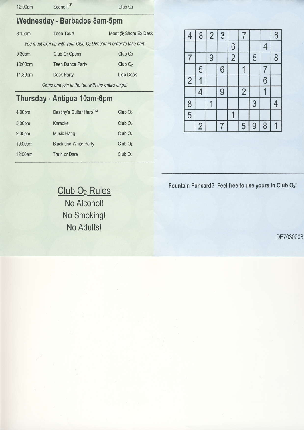| 12:00am                                | Scene it® | ClubO <sub>2</sub>                      |
|----------------------------------------|-----------|-----------------------------------------|
| and the company's company's particular |           | <b>CONTRACTOR CONTRACTOR CONTRACTOR</b> |

# Wednesday - Barbados 8am-Spm

| 8:15am  | Teen Tour!                                                         | Meet @ Shore Ex Desk |
|---------|--------------------------------------------------------------------|----------------------|
|         | You must sign up with your Club O2 Director in order to take part! |                      |
| 9:30pm  | Club O <sub>2</sub> Opens                                          | ClubO <sub>2</sub>   |
| 10:00pm | <b>Teen Dance Party</b>                                            | ClubO <sub>2</sub>   |
| 11.30pm | Deck Party                                                         | Lido Deck            |
|         | Come and join in the fun with the entire ship!!!                   |                      |

# Thursday. Antigua 10am-6pm

| 4:00pm             | Destiny's Guitar Hero™       | ClubO <sub>2</sub> |  |
|--------------------|------------------------------|--------------------|--|
| 5:00pm             | Karaoke                      | ClubO <sub>2</sub> |  |
| 9:30 <sub>pm</sub> | Music Hang                   | ClubO <sub>2</sub> |  |
| 10:00pm            | <b>Black and White Party</b> | ClubO <sub>2</sub> |  |
| 12:00am            | Truth or Dare                | ClubO <sub>2</sub> |  |
|                    |                              |                    |  |

| $\overline{4}$ | 8              | $\overline{2}$ | 3 |                | 7              |   |   | 6              |
|----------------|----------------|----------------|---|----------------|----------------|---|---|----------------|
|                |                |                |   | 6              |                |   | 4 |                |
| 7              |                | 9              |   | $\overline{c}$ |                | 5 |   | 8              |
|                | 5              |                | 6 |                |                |   | 7 |                |
| $\overline{c}$ |                |                |   |                |                |   | 6 |                |
|                | 4              |                | 9 |                | $\overline{2}$ |   |   |                |
|                |                | 1              |   |                |                | 3 |   | $\overline{4}$ |
| $\frac{8}{5}$  |                |                |   |                |                |   |   |                |
|                | $\overline{c}$ |                | 7 |                | 5              | 9 | 8 |                |

Club O<sub>2</sub> Rules Fountain Funcard? Feel free to use yours in Club O<sub>2</sub>!

No Alcohol! No Smoking! No Adultsl

0E7030208